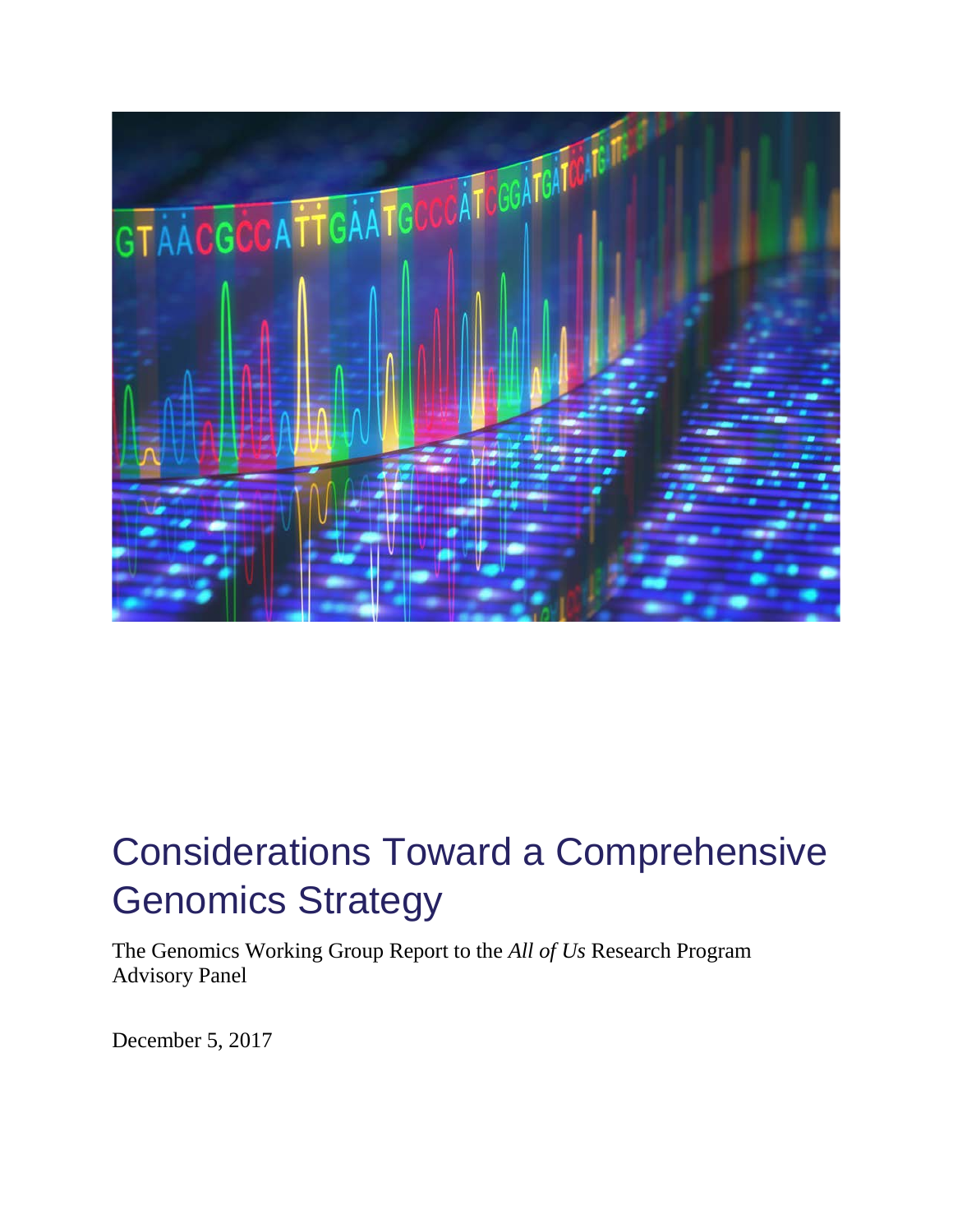

# Considerations Toward a Comprehensive Genomics Strategy

The Genomics Working Group Report to the *All of Us* Research Program Advisory Panel

December 5, 2017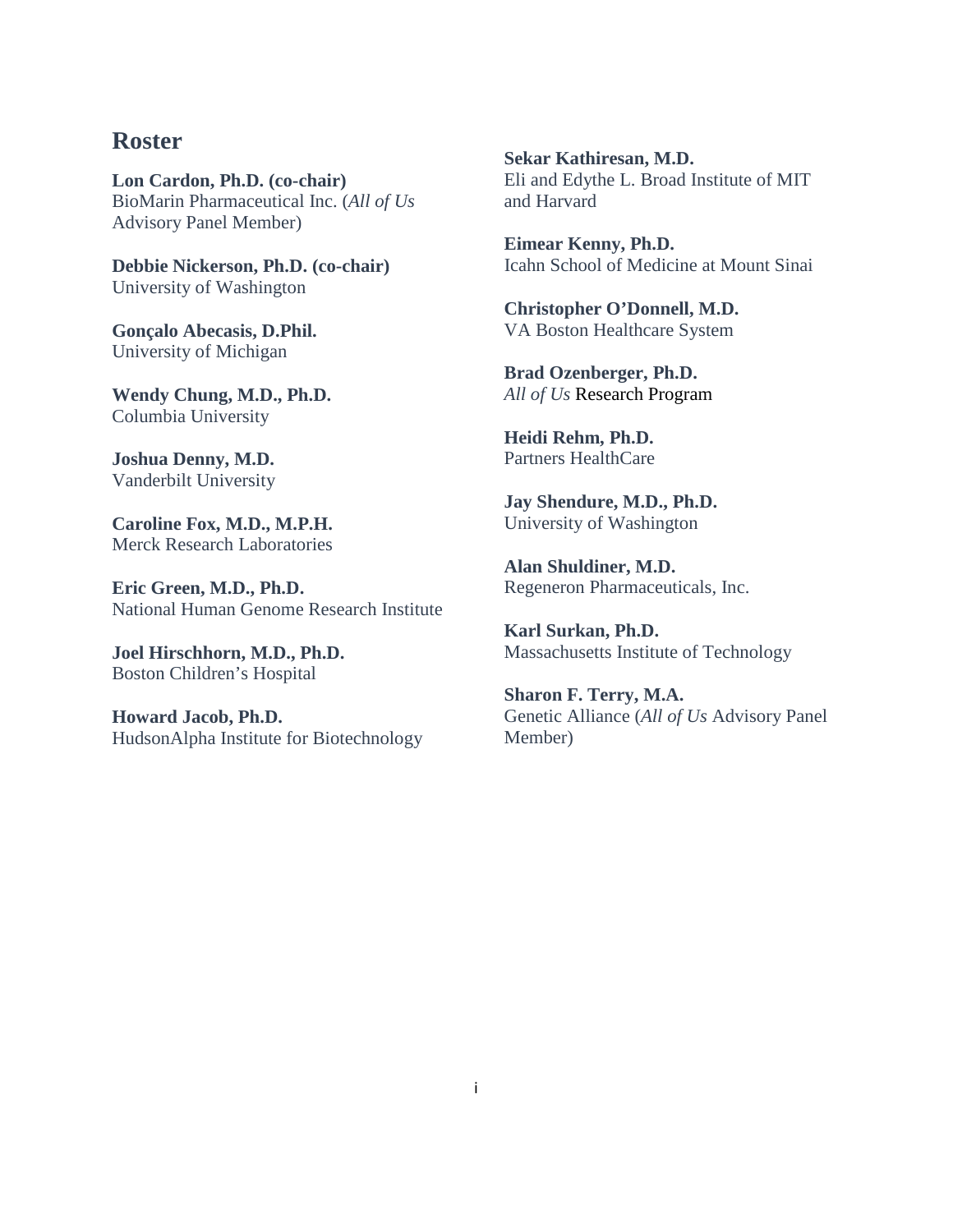#### **Roster**

**Lon Cardon, Ph.D. (co-chair)**  BioMarin Pharmaceutical Inc. (*All of Us*  Advisory Panel Member)

 University of Washington **Debbie Nickerson, Ph.D. (co-chair)** 

**Gonçalo Abecasis, D.Phil.**  University of Michigan

**Wendy Chung, M.D., Ph.D.**  Columbia University

**Joshua Denny, M.D.**  Vanderbilt University

**Caroline Fox, M.D., M.P.H.**  Merck Research Laboratories

**Eric Green, M.D., Ph.D.**  National Human Genome Research Institute

**Joel Hirschhorn, M.D., Ph.D.**  Boston Children's Hospital

**Howard Jacob, Ph.D.**  HudsonAlpha Institute for Biotechnology **Sekar Kathiresan, M.D.**  Eli and Edythe L. Broad Institute of MIT and Harvard

**Eimear Kenny, Ph.D.**  Icahn School of Medicine at Mount Sinai

 VA Boston Healthcare System **Christopher O'Donnell, M.D.** 

**Brad Ozenberger, Ph.D.**  *All of Us* Research Program

**Heidi Rehm, Ph.D.**  Partners HealthCare

**Jay Shendure, M.D., Ph.D.**  University of Washington

**Alan Shuldiner, M.D.**  Regeneron Pharmaceuticals, Inc.

**Karl Surkan, Ph.D.**  Massachusetts Institute of Technology

**Sharon F. Terry, M.A.**  Genetic Alliance (*All of Us* Advisory Panel Member)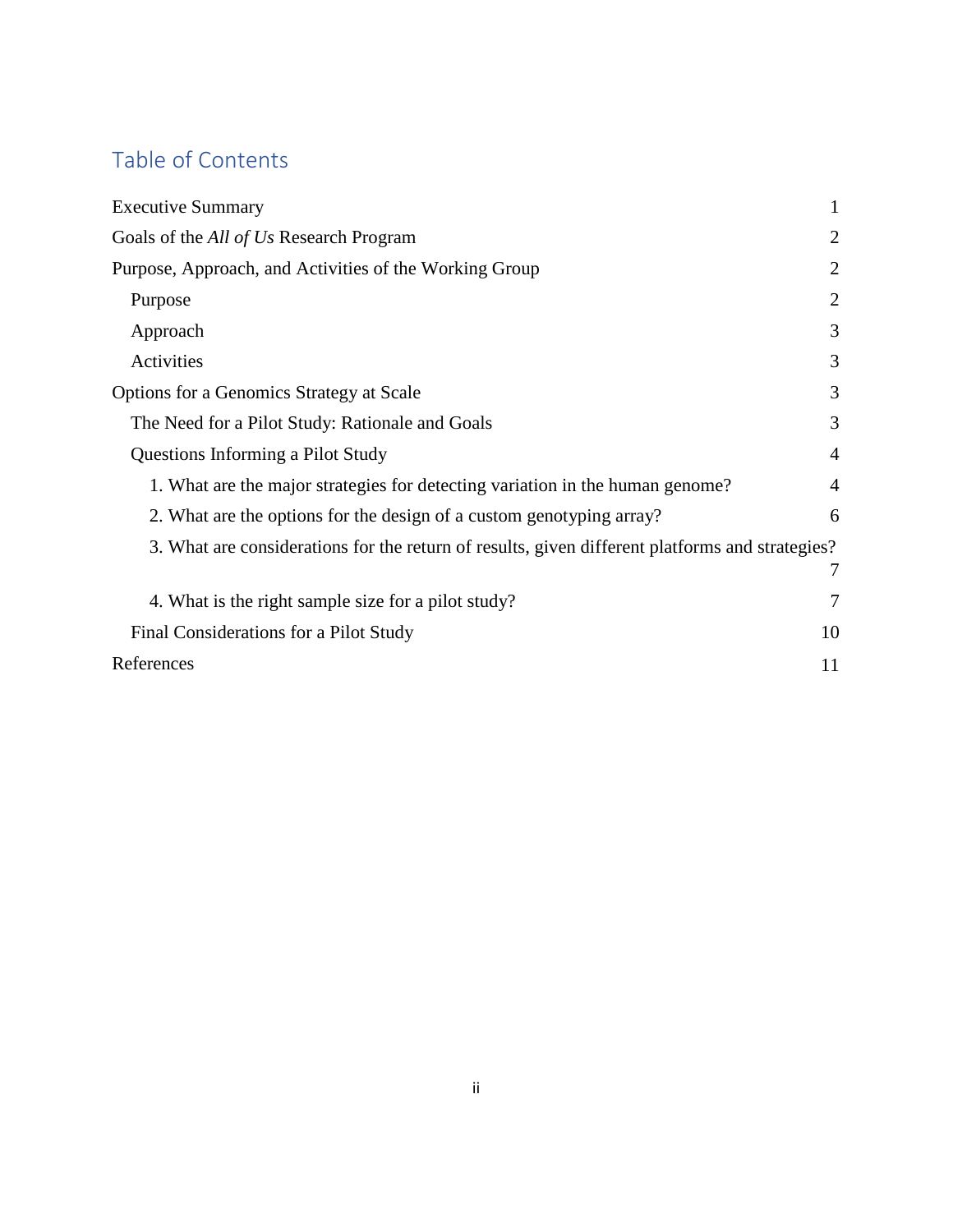## Table of Contents

| <b>Executive Summary</b>                                                                        | 1              |
|-------------------------------------------------------------------------------------------------|----------------|
| Goals of the All of Us Research Program                                                         | $\overline{2}$ |
| Purpose, Approach, and Activities of the Working Group                                          | $\overline{2}$ |
| Purpose                                                                                         | $\overline{2}$ |
| Approach                                                                                        | 3              |
| Activities                                                                                      | 3              |
| <b>Options for a Genomics Strategy at Scale</b>                                                 | 3              |
| The Need for a Pilot Study: Rationale and Goals                                                 | 3              |
| Questions Informing a Pilot Study                                                               | $\overline{A}$ |
| 1. What are the major strategies for detecting variation in the human genome?                   | $\overline{4}$ |
| 2. What are the options for the design of a custom genotyping array?                            | 6              |
| 3. What are considerations for the return of results, given different platforms and strategies? | 7              |
| 4. What is the right sample size for a pilot study?                                             | 7              |
| Final Considerations for a Pilot Study                                                          | 10             |
| References                                                                                      | 11             |
|                                                                                                 |                |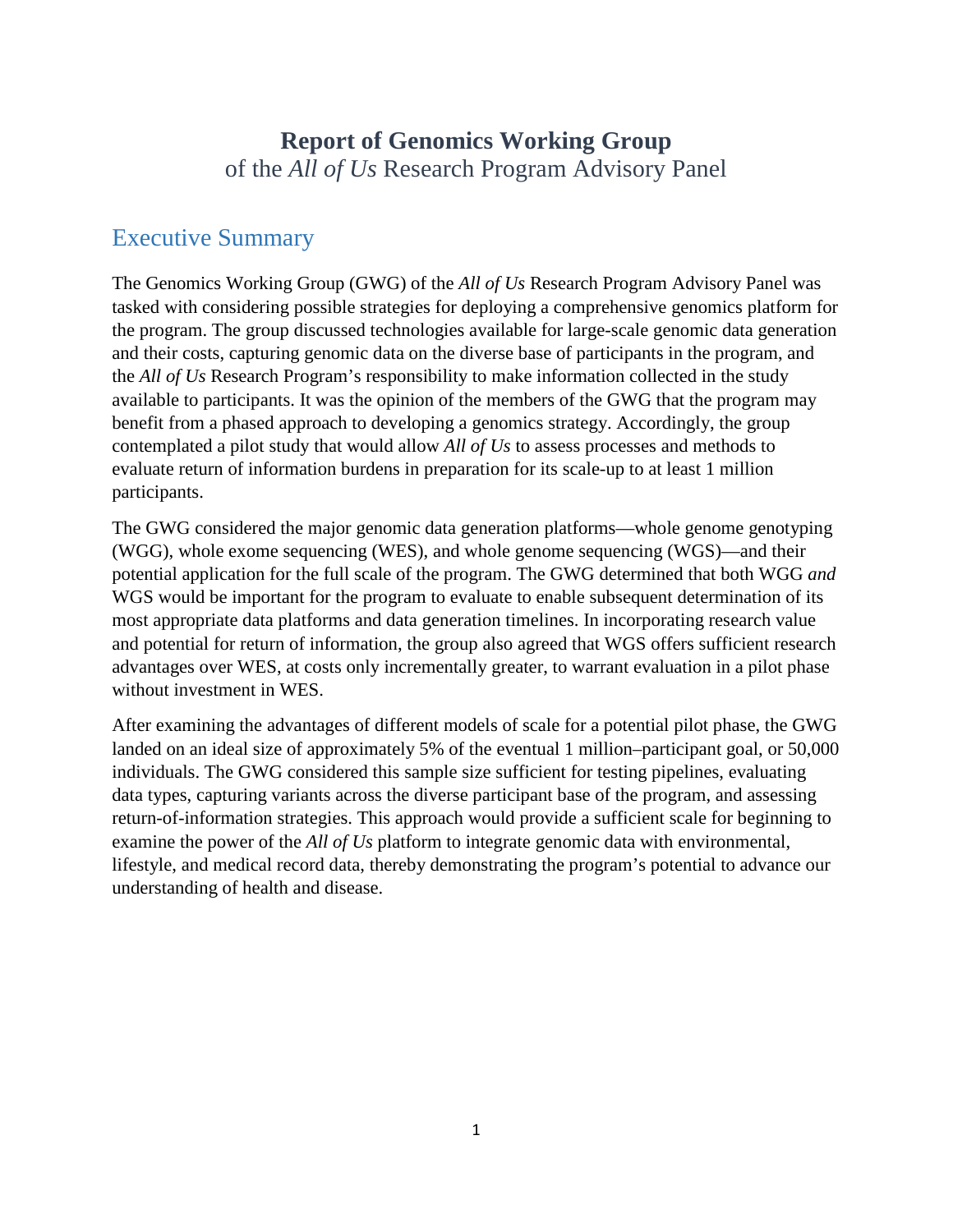### **Report of Genomics Working Group**  of the *All of Us* Research Program Advisory Panel

### <span id="page-3-0"></span>Executive Summary

 benefit from a phased approach to developing a genomics strategy. Accordingly, the group contemplated a pilot study that would allow *All of Us* to assess processes and methods to The Genomics Working Group (GWG) of the *All of Us* Research Program Advisory Panel was tasked with considering possible strategies for deploying a comprehensive genomics platform for the program. The group discussed technologies available for large-scale genomic data generation and their costs, capturing genomic data on the diverse base of participants in the program, and the *All of Us* Research Program's responsibility to make information collected in the study available to participants. It was the opinion of the members of the GWG that the program may evaluate return of information burdens in preparation for its scale-up to at least 1 million participants.

 The GWG considered the major genomic data generation platforms—whole genome genotyping potential application for the full scale of the program. The GWG determined that both WGG *and*  and potential for return of information, the group also agreed that WGS offers sufficient research (WGG), whole exome sequencing (WES), and whole genome sequencing (WGS)—and their WGS would be important for the program to evaluate to enable subsequent determination of its most appropriate data platforms and data generation timelines. In incorporating research value advantages over WES, at costs only incrementally greater, to warrant evaluation in a pilot phase without investment in WES.

 examine the power of the *All of Us* platform to integrate genomic data with environmental, lifestyle, and medical record data, thereby demonstrating the program's potential to advance our After examining the advantages of different models of scale for a potential pilot phase, the GWG landed on an ideal size of approximately 5% of the eventual 1 million–participant goal, or 50,000 individuals. The GWG considered this sample size sufficient for testing pipelines, evaluating data types, capturing variants across the diverse participant base of the program, and assessing return-of-information strategies. This approach would provide a sufficient scale for beginning to understanding of health and disease.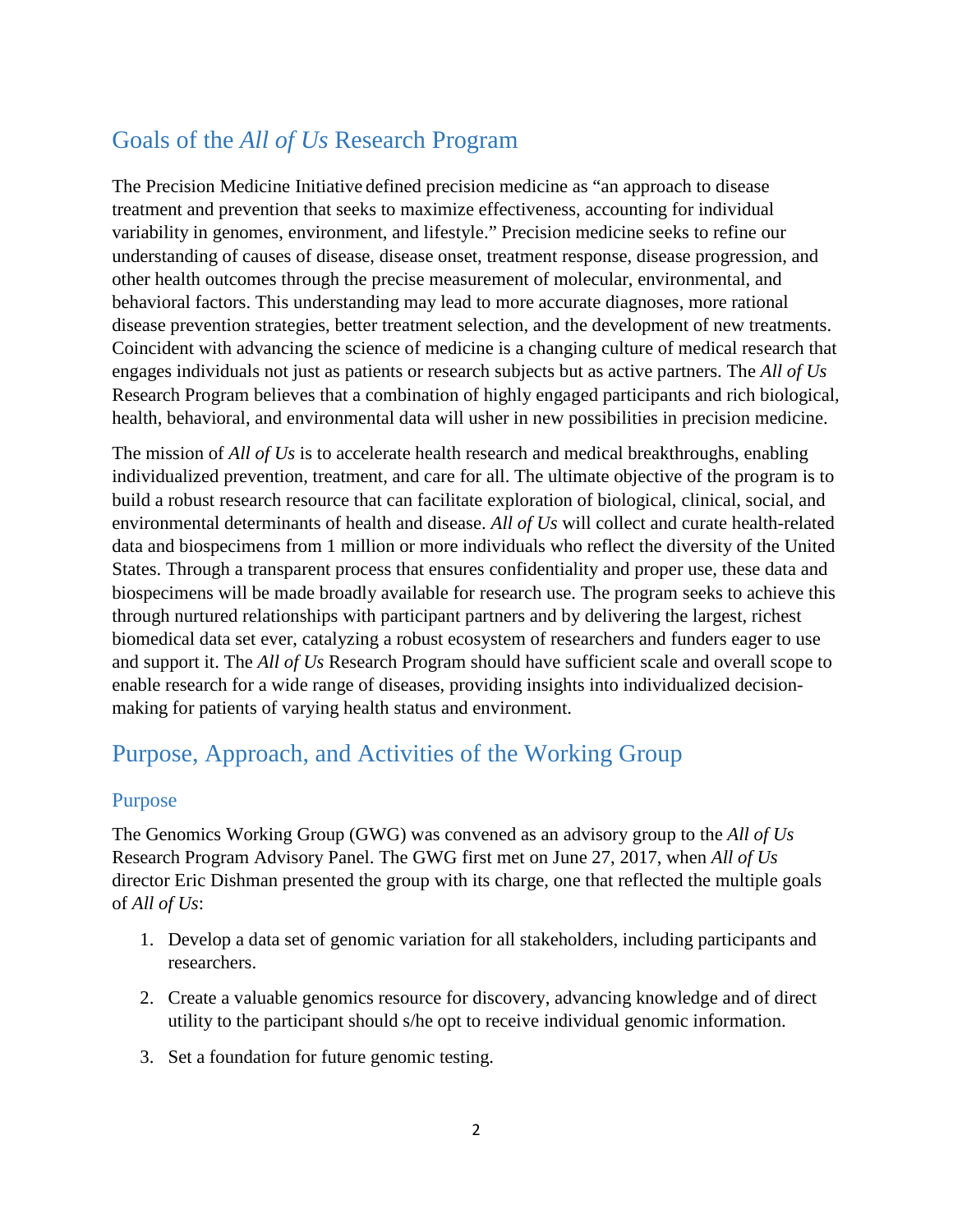### <span id="page-4-0"></span>Goals of the *All of Us* Research Program

 treatment and prevention that seeks to maximize effectiveness, accounting for individual engages individuals not just as patients or research subjects but as active partners. The *All of Us*  The Precision Medicine Initiative defined precision medicine as "an approach to disease variability in genomes, environment, and lifestyle." Precision medicine seeks to refine our understanding of causes of disease, disease onset, treatment response, disease progression, and other health outcomes through the precise measurement of molecular, environmental, and behavioral factors. This understanding may lead to more accurate diagnoses, more rational disease prevention strategies, better treatment selection, and the development of new treatments. Coincident with advancing the science of medicine is a changing culture of medical research that Research Program believes that a combination of highly engaged participants and rich biological, health, behavioral, and environmental data will usher in new possibilities in precision medicine.

 The mission of *All of Us* is to accelerate health research and medical breakthroughs, enabling environmental determinants of health and disease. *All of Us* will collect and curate health-related individualized prevention, treatment, and care for all. The ultimate objective of the program is to build a robust research resource that can facilitate exploration of biological, clinical, social, and data and biospecimens from 1 million or more individuals who reflect the diversity of the United States. Through a transparent process that ensures confidentiality and proper use, these data and biospecimens will be made broadly available for research use. The program seeks to achieve this through nurtured relationships with participant partners and by delivering the largest, richest biomedical data set ever, catalyzing a robust ecosystem of researchers and funders eager to use and support it. The *All of Us* Research Program should have sufficient scale and overall scope to enable research for a wide range of diseases, providing insights into individualized decisionmaking for patients of varying health status and environment.

### <span id="page-4-1"></span>Purpose, Approach, and Activities of the Working Group

#### <span id="page-4-2"></span>Purpose

 The Genomics Working Group (GWG) was convened as an advisory group to the *All of Us*  Research Program Advisory Panel. The GWG first met on June 27, 2017, when *All of Us*  director Eric Dishman presented the group with its charge, one that reflected the multiple goals of *All of Us*:

- 1. Develop a data set of genomic variation for all stakeholders, including participants and researchers.
- 2. Create a valuable genomics resource for discovery, advancing knowledge and of direct utility to the participant should s/he opt to receive individual genomic information.
- 3. Set a foundation for future genomic testing.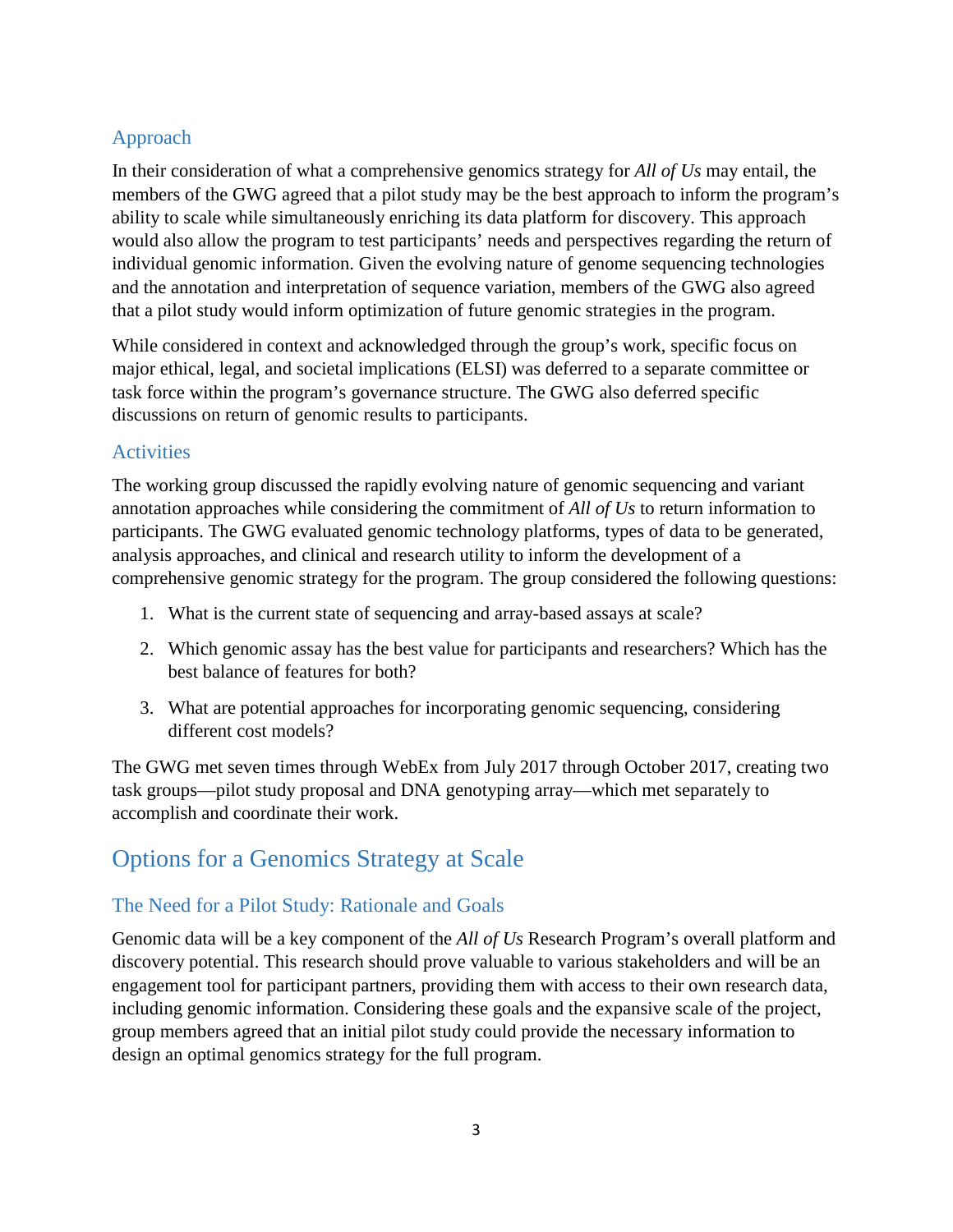### <span id="page-5-0"></span>Approach

 In their consideration of what a comprehensive genomics strategy for *All of Us* may entail, the members of the GWG agreed that a pilot study may be the best approach to inform the program's ability to scale while simultaneously enriching its data platform for discovery. This approach would also allow the program to test participants' needs and perspectives regarding the return of individual genomic information. Given the evolving nature of genome sequencing technologies and the annotation and interpretation of sequence variation, members of the GWG also agreed that a pilot study would inform optimization of future genomic strategies in the program.

 discussions on return of genomic results to participants. While considered in context and acknowledged through the group's work, specific focus on major ethical, legal, and societal implications (ELSI) was deferred to a separate committee or task force within the program's governance structure. The GWG also deferred specific

### <span id="page-5-1"></span>**Activities**

 The working group discussed the rapidly evolving nature of genomic sequencing and variant participants. The GWG evaluated genomic technology platforms, types of data to be generated, comprehensive genomic strategy for the program. The group considered the following questions: annotation approaches while considering the commitment of *All of Us* to return information to analysis approaches, and clinical and research utility to inform the development of a

- 1. What is the current state of sequencing and array-based assays at scale?
- best balance of features for both? 2. Which genomic assay has the best value for participants and researchers? Which has the
- different cost models? 3. What are potential approaches for incorporating genomic sequencing, considering

The GWG met seven times through WebEx from July 2017 through October 2017, creating two task groups—pilot study proposal and DNA genotyping array—which met separately to accomplish and coordinate their work.

### <span id="page-5-2"></span>Options for a Genomics Strategy at Scale

### <span id="page-5-3"></span>The Need for a Pilot Study: Rationale and Goals

 Genomic data will be a key component of the *All of Us* Research Program's overall platform and discovery potential. This research should prove valuable to various stakeholders and will be an engagement tool for participant partners, providing them with access to their own research data, including genomic information. Considering these goals and the expansive scale of the project, group members agreed that an initial pilot study could provide the necessary information to design an optimal genomics strategy for the full program.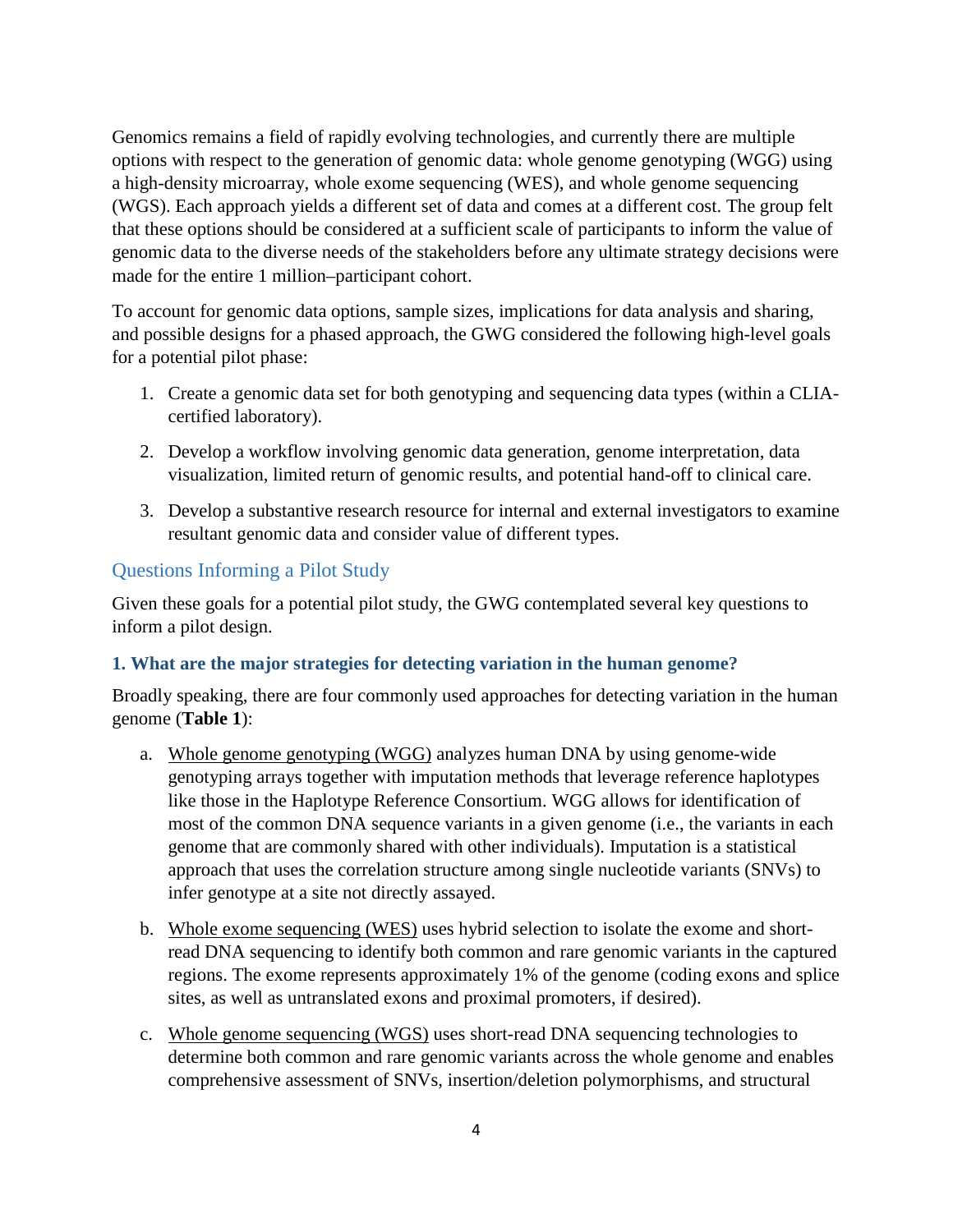options with respect to the generation of genomic data: whole genome genotyping (WGG) using Genomics remains a field of rapidly evolving technologies, and currently there are multiple a high-density microarray, whole exome sequencing (WES), and whole genome sequencing (WGS). Each approach yields a different set of data and comes at a different cost. The group felt that these options should be considered at a sufficient scale of participants to inform the value of genomic data to the diverse needs of the stakeholders before any ultimate strategy decisions were made for the entire 1 million–participant cohort.

 To account for genomic data options, sample sizes, implications for data analysis and sharing, and possible designs for a phased approach, the GWG considered the following high-level goals for a potential pilot phase:

- 1. Create a genomic data set for both genotyping and sequencing data types (within a CLIAcertified laboratory).
- 2. Develop a workflow involving genomic data generation, genome interpretation, data visualization, limited return of genomic results, and potential hand-off to clinical care.
- 3. Develop a substantive research resource for internal and external investigators to examine resultant genomic data and consider value of different types.

### <span id="page-6-0"></span>Questions Informing a Pilot Study

Given these goals for a potential pilot study, the GWG contemplated several key questions to inform a pilot design.

#### <span id="page-6-1"></span>**1. What are the major strategies for detecting variation in the human genome?**

Broadly speaking, there are four commonly used approaches for detecting variation in the human genome (**Table 1**):

- a. Whole genome genotyping (WGG) analyzes human DNA by using genome-wide genotyping arrays together with imputation methods that leverage reference haplotypes like those in the Haplotype Reference Consortium. WGG allows for identification of most of the common DNA sequence variants in a given genome (i.e., the variants in each genome that are commonly shared with other individuals). Imputation is a statistical approach that uses the correlation structure among single nucleotide variants (SNVs) to infer genotype at a site not directly assayed.
- b. Whole exome sequencing (WES) uses hybrid selection to isolate the exome and shortread DNA sequencing to identify both common and rare genomic variants in the captured regions. The exome represents approximately 1% of the genome (coding exons and splice sites, as well as untranslated exons and proximal promoters, if desired).
- c. Whole genome sequencing (WGS) uses short-read DNA sequencing technologies to determine both common and rare genomic variants across the whole genome and enables comprehensive assessment of SNVs, insertion/deletion polymorphisms, and structural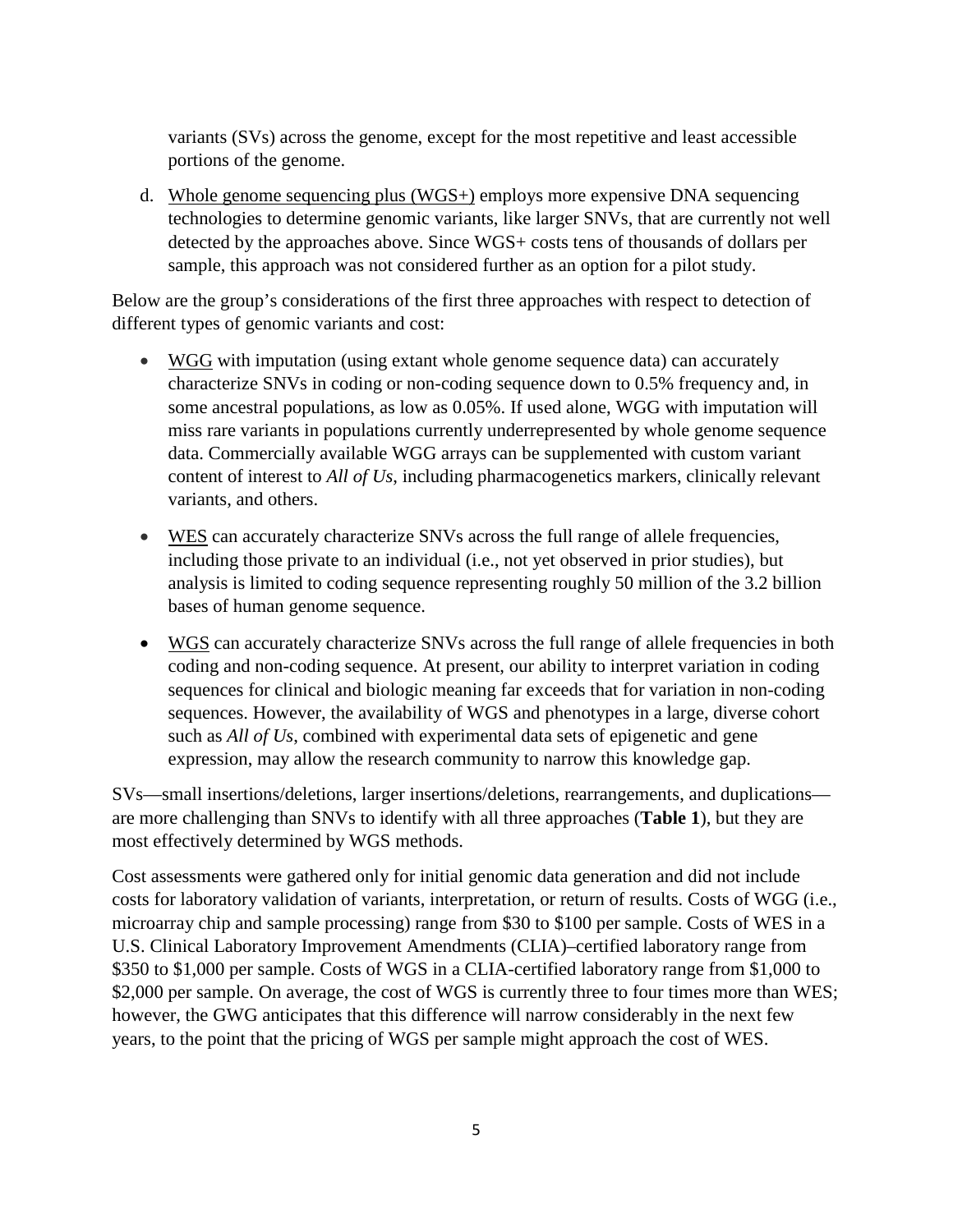variants (SVs) across the genome, except for the most repetitive and least accessible portions of the genome.

d. Whole genome sequencing plus (WGS+) employs more expensive DNA sequencing technologies to determine genomic variants, like larger SNVs, that are currently not well detected by the approaches above. Since WGS+ costs tens of thousands of dollars per sample, this approach was not considered further as an option for a pilot study.

Below are the group's considerations of the first three approaches with respect to detection of different types of genomic variants and cost:

- WGG with imputation (using extant whole genome sequence data) can accurately characterize SNVs in coding or non-coding sequence down to 0.5% frequency and, in some ancestral populations, as low as 0.05%. If used alone, WGG with imputation will miss rare variants in populations currently underrepresented by whole genome sequence data. Commercially available WGG arrays can be supplemented with custom variant content of interest to *All of Us*, including pharmacogenetics markers, clinically relevant variants, and others.
- bases of human genome sequence. • WES can accurately characterize SNVs across the full range of allele frequencies, including those private to an individual (i.e., not yet observed in prior studies), but analysis is limited to coding sequence representing roughly 50 million of the 3.2 billion
- WGS can accurately characterize SNVs across the full range of allele frequencies in both coding and non-coding sequence. At present, our ability to interpret variation in coding sequences for clinical and biologic meaning far exceeds that for variation in non-coding sequences. However, the availability of WGS and phenotypes in a large, diverse cohort such as *All of Us*, combined with experimental data sets of epigenetic and gene expression, may allow the research community to narrow this knowledge gap.

 are more challenging than SNVs to identify with all three approaches (**Table 1**), but they are SVs—small insertions/deletions, larger insertions/deletions, rearrangements, and duplications most effectively determined by WGS methods.

 microarray chip and sample processing) range from \$30 to \$100 per sample. Costs of WES in a Cost assessments were gathered only for initial genomic data generation and did not include costs for laboratory validation of variants, interpretation, or return of results. Costs of WGG (i.e., U.S. Clinical Laboratory Improvement Amendments (CLIA)–certified laboratory range from \$350 to \$1,000 per sample. Costs of WGS in a CLIA-certified laboratory range from \$1,000 to \$2,000 per sample. On average, the cost of WGS is currently three to four times more than WES; however, the GWG anticipates that this difference will narrow considerably in the next few years, to the point that the pricing of WGS per sample might approach the cost of WES.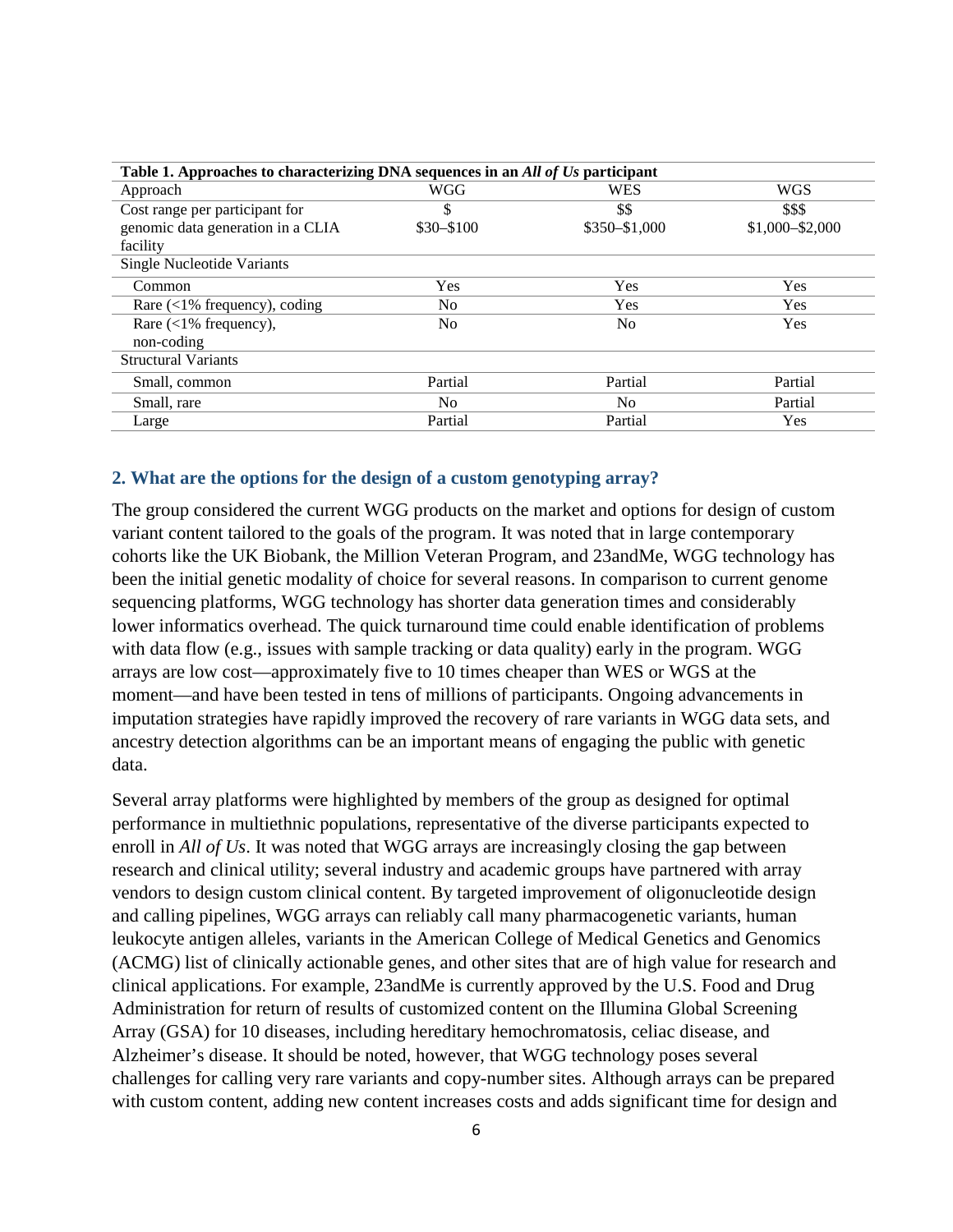| Table 1. Approaches to characterizing DNA sequences in an All of Us participant |              |                |                   |  |  |  |  |
|---------------------------------------------------------------------------------|--------------|----------------|-------------------|--|--|--|--|
| Approach                                                                        | WGG          | <b>WES</b>     | <b>WGS</b>        |  |  |  |  |
| Cost range per participant for                                                  | \$           | \$\$           | \$\$\$            |  |  |  |  |
| genomic data generation in a CLIA                                               | $$30 - $100$ | \$350-\$1,000  | $$1,000 - $2,000$ |  |  |  |  |
| facility                                                                        |              |                |                   |  |  |  |  |
| <b>Single Nucleotide Variants</b>                                               |              |                |                   |  |  |  |  |
| Common                                                                          | Yes          | Yes            | Yes               |  |  |  |  |
| Rare $\left($ < 1% frequency), coding                                           | No.          | <b>Yes</b>     | Yes               |  |  |  |  |
| Rare $\left($ < 1% frequency),                                                  | No           | N <sub>0</sub> | <b>Yes</b>        |  |  |  |  |
| non-coding                                                                      |              |                |                   |  |  |  |  |
| <b>Structural Variants</b>                                                      |              |                |                   |  |  |  |  |
| Small, common                                                                   | Partial      | Partial        | Partial           |  |  |  |  |
| Small, rare                                                                     | No           | N <sub>0</sub> | Partial           |  |  |  |  |
| Large                                                                           | Partial      | Partial        | Yes               |  |  |  |  |

#### <span id="page-8-0"></span>**2. What are the options for the design of a custom genotyping array?**

 cohorts like the UK Biobank, the Million Veteran Program, and 23andMe, WGG technology has been the initial genetic modality of choice for several reasons. In comparison to current genome sequencing platforms, WGG technology has shorter data generation times and considerably The group considered the current WGG products on the market and options for design of custom variant content tailored to the goals of the program. It was noted that in large contemporary lower informatics overhead. The quick turnaround time could enable identification of problems with data flow (e.g., issues with sample tracking or data quality) early in the program. WGG arrays are low cost—approximately five to 10 times cheaper than WES or WGS at the moment—and have been tested in tens of millions of participants. Ongoing advancements in imputation strategies have rapidly improved the recovery of rare variants in WGG data sets, and ancestry detection algorithms can be an important means of engaging the public with genetic data.

 research and clinical utility; several industry and academic groups have partnered with array Administration for return of results of customized content on the Illumina Global Screening Several array platforms were highlighted by members of the group as designed for optimal performance in multiethnic populations, representative of the diverse participants expected to enroll in *All of Us*. It was noted that WGG arrays are increasingly closing the gap between vendors to design custom clinical content. By targeted improvement of oligonucleotide design and calling pipelines, WGG arrays can reliably call many pharmacogenetic variants, human leukocyte antigen alleles, variants in the American College of Medical Genetics and Genomics (ACMG) list of clinically actionable genes, and other sites that are of high value for research and clinical applications. For example, 23andMe is currently approved by the U.S. Food and Drug Array (GSA) for 10 diseases, including hereditary hemochromatosis, celiac disease, and Alzheimer's disease. It should be noted, however, that WGG technology poses several challenges for calling very rare variants and copy-number sites. Although arrays can be prepared with custom content, adding new content increases costs and adds significant time for design and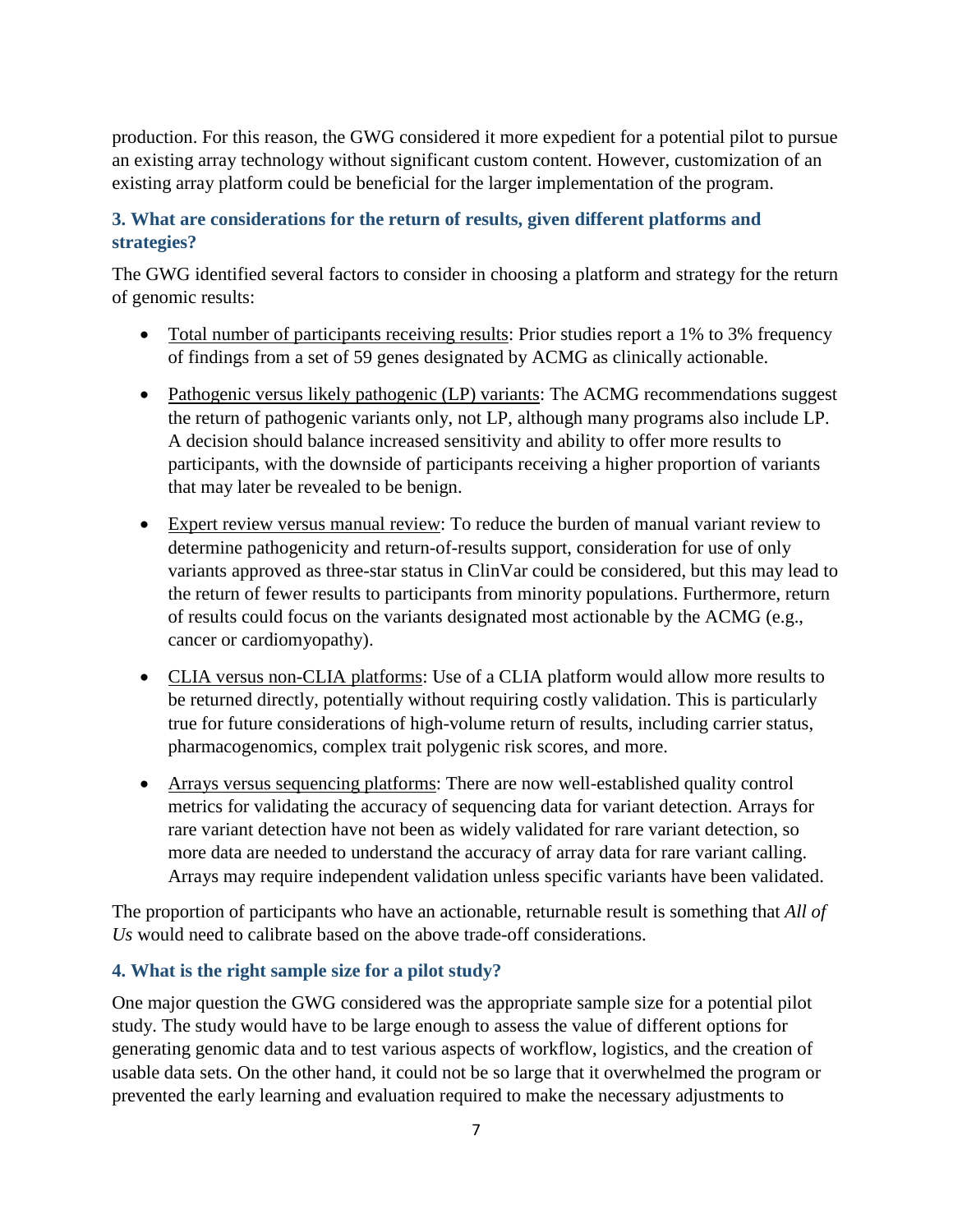production. For this reason, the GWG considered it more expedient for a potential pilot to pursue an existing array technology without significant custom content. However, customization of an existing array platform could be beneficial for the larger implementation of the program.

### <span id="page-9-0"></span>**3. What are considerations for the return of results, given different platforms and strategies?**

The GWG identified several factors to consider in choosing a platform and strategy for the return of genomic results:

- of findings from a set of 59 genes designated by ACMG as clinically actionable. • Total number of participants receiving results: Prior studies report a 1% to 3% frequency
- Pathogenic versus likely pathogenic (LP) variants: The ACMG recommendations suggest the return of pathogenic variants only, not LP, although many programs also include LP. A decision should balance increased sensitivity and ability to offer more results to participants, with the downside of participants receiving a higher proportion of variants that may later be revealed to be benign.
- Expert review versus manual review: To reduce the burden of manual variant review to determine pathogenicity and return-of-results support, consideration for use of only variants approved as three-star status in ClinVar could be considered, but this may lead to the return of fewer results to participants from minority populations. Furthermore, return of results could focus on the variants designated most actionable by the ACMG (e.g., cancer or cardiomyopathy).
- CLIA versus non-CLIA platforms: Use of a CLIA platform would allow more results to be returned directly, potentially without requiring costly validation. This is particularly true for future considerations of high-volume return of results, including carrier status, pharmacogenomics, complex trait polygenic risk scores, and more.
- Arrays versus sequencing platforms: There are now well-established quality control metrics for validating the accuracy of sequencing data for variant detection. Arrays for rare variant detection have not been as widely validated for rare variant detection, so more data are needed to understand the accuracy of array data for rare variant calling. Arrays may require independent validation unless specific variants have been validated.

The proportion of participants who have an actionable, returnable result is something that *All of Us* would need to calibrate based on the above trade-off considerations.

### <span id="page-9-1"></span>**4. What is the right sample size for a pilot study?**

One major question the GWG considered was the appropriate sample size for a potential pilot study. The study would have to be large enough to assess the value of different options for generating genomic data and to test various aspects of workflow, logistics, and the creation of usable data sets. On the other hand, it could not be so large that it overwhelmed the program or prevented the early learning and evaluation required to make the necessary adjustments to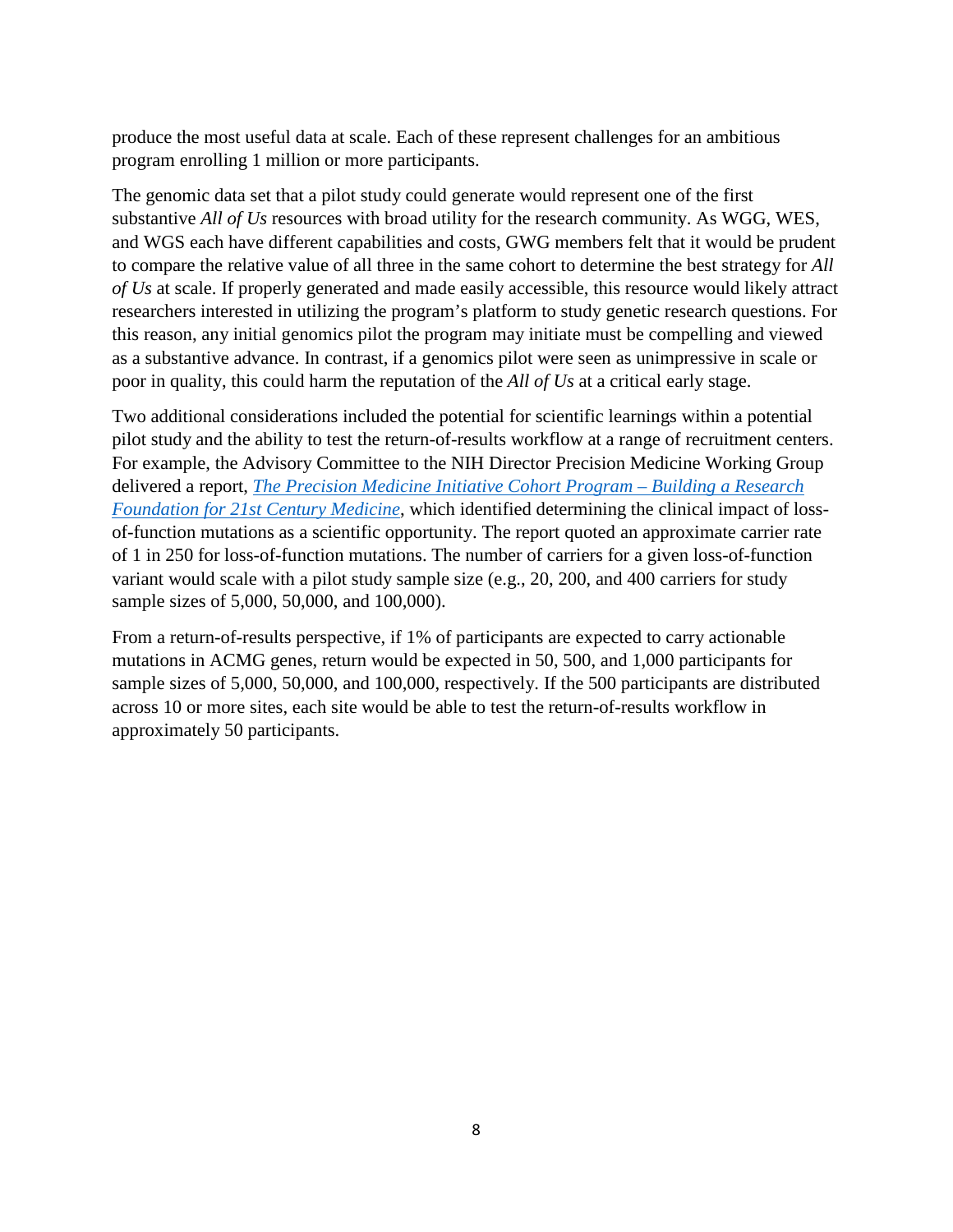produce the most useful data at scale. Each of these represent challenges for an ambitious program enrolling 1 million or more participants.

 The genomic data set that a pilot study could generate would represent one of the first as a substantive advance. In contrast, if a genomics pilot were seen as unimpressive in scale or poor in quality, this could harm the reputation of the *All of Us* at a critical early stage. substantive *All of Us* resources with broad utility for the research community. As WGG, WES, and WGS each have different capabilities and costs, GWG members felt that it would be prudent to compare the relative value of all three in the same cohort to determine the best strategy for *All of Us* at scale. If properly generated and made easily accessible, this resource would likely attract researchers interested in utilizing the program's platform to study genetic research questions. For this reason, any initial genomics pilot the program may initiate must be compelling and viewed

 of-function mutations as a scientific opportunity. The report quoted an approximate carrier rate of 1 in 250 for loss-of-function mutations. The number of carriers for a given loss-of-function Two additional considerations included the potential for scientific learnings within a potential pilot study and the ability to test the return-of-results workflow at a range of recruitment centers. For example, the Advisory Committee to the NIH Director Precision Medicine Working Group delivered a report, *[The Precision Medicine Initiative Cohort Program – Building a Research](https://www.nih.gov/sites/default/files/research-training/initiatives/pmi/pmi-working-group-report-20150917-2.pdf)  [Foundation for 21st Century Medicine](https://www.nih.gov/sites/default/files/research-training/initiatives/pmi/pmi-working-group-report-20150917-2.pdf)*, which identified determining the clinical impact of lossvariant would scale with a pilot study sample size (e.g., 20, 200, and 400 carriers for study sample sizes of 5,000, 50,000, and 100,000).

From a return-of-results perspective, if 1% of participants are expected to carry actionable mutations in ACMG genes, return would be expected in 50, 500, and 1,000 participants for sample sizes of 5,000, 50,000, and 100,000, respectively. If the 500 participants are distributed across 10 or more sites, each site would be able to test the return-of-results workflow in approximately 50 participants.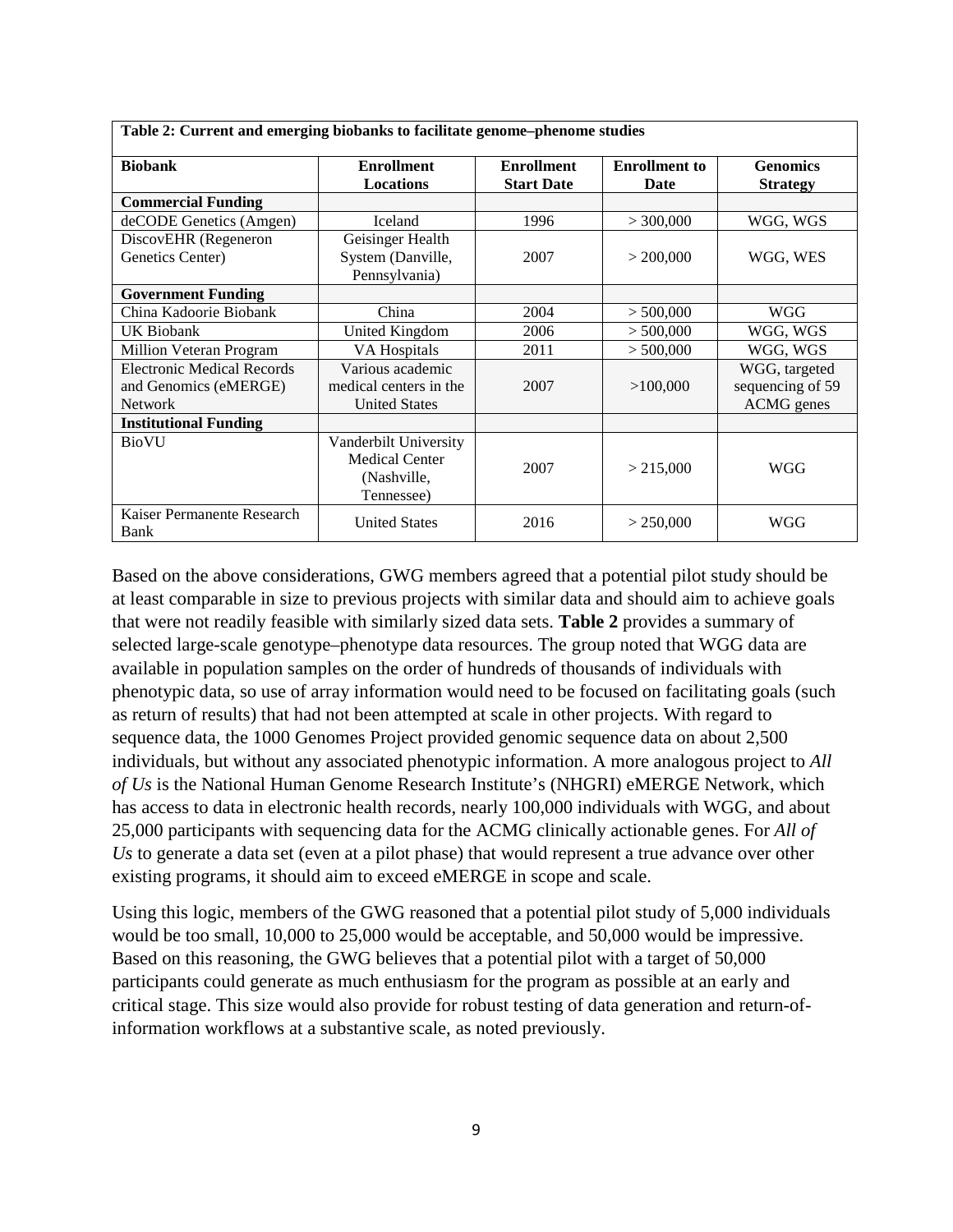| Table 2: Current and emerging biobanks to facilitate genome-phenome studies  |                                                                             |                                        |                              |                                                        |  |  |
|------------------------------------------------------------------------------|-----------------------------------------------------------------------------|----------------------------------------|------------------------------|--------------------------------------------------------|--|--|
| <b>Biobank</b>                                                               | <b>Enrollment</b><br><b>Locations</b>                                       | <b>Enrollment</b><br><b>Start Date</b> | <b>Enrollment</b> to<br>Date | <b>Genomics</b><br><b>Strategy</b>                     |  |  |
| <b>Commercial Funding</b>                                                    |                                                                             |                                        |                              |                                                        |  |  |
| deCODE Genetics (Amgen)                                                      | Iceland                                                                     | 1996                                   | > 300,000                    | WGG, WGS                                               |  |  |
| DiscovEHR (Regeneron<br>Genetics Center)                                     | Geisinger Health<br>System (Danville,<br>Pennsylvania)                      | 2007                                   | > 200,000                    | WGG, WES                                               |  |  |
| <b>Government Funding</b>                                                    |                                                                             |                                        |                              |                                                        |  |  |
| China Kadoorie Biobank                                                       | China                                                                       | 2004                                   | > 500,000                    | <b>WGG</b>                                             |  |  |
| UK Biobank                                                                   | United Kingdom                                                              | 2006                                   | > 500,000                    | WGG, WGS                                               |  |  |
| Million Veteran Program                                                      | <b>VA Hospitals</b>                                                         | 2011                                   | > 500,000                    | WGG, WGS                                               |  |  |
| <b>Electronic Medical Records</b><br>and Genomics (eMERGE)<br><b>Network</b> | Various academic<br>medical centers in the<br><b>United States</b>          | 2007                                   | >100,000                     | WGG, targeted<br>sequencing of 59<br><b>ACMG</b> genes |  |  |
| <b>Institutional Funding</b>                                                 |                                                                             |                                        |                              |                                                        |  |  |
| BioVU                                                                        | Vanderbilt University<br><b>Medical Center</b><br>(Nashville,<br>Tennessee) | 2007                                   | > 215,000                    | WGG                                                    |  |  |
| Kaiser Permanente Research<br>Bank                                           | <b>United States</b>                                                        | 2016                                   | > 250,000                    | WGG                                                    |  |  |

 that were not readily feasible with similarly sized data sets. **Table 2** provides a summary of as return of results) that had not been attempted at scale in other projects. With regard to 25,000 participants with sequencing data for the ACMG clinically actionable genes. For *All of Us* to generate a data set (even at a pilot phase) that would represent a true advance over other Based on the above considerations, GWG members agreed that a potential pilot study should be at least comparable in size to previous projects with similar data and should aim to achieve goals selected large-scale genotype–phenotype data resources. The group noted that WGG data are available in population samples on the order of hundreds of thousands of individuals with phenotypic data, so use of array information would need to be focused on facilitating goals (such sequence data, the 1000 Genomes Project provided genomic sequence data on about 2,500 individuals, but without any associated phenotypic information. A more analogous project to *All of Us* is the National Human Genome Research Institute's (NHGRI) eMERGE Network, which has access to data in electronic health records, nearly 100,000 individuals with WGG, and about existing programs, it should aim to exceed eMERGE in scope and scale.

 participants could generate as much enthusiasm for the program as possible at an early and Using this logic, members of the GWG reasoned that a potential pilot study of 5,000 individuals would be too small, 10,000 to 25,000 would be acceptable, and 50,000 would be impressive. Based on this reasoning, the GWG believes that a potential pilot with a target of 50,000 critical stage. This size would also provide for robust testing of data generation and return-ofinformation workflows at a substantive scale, as noted previously.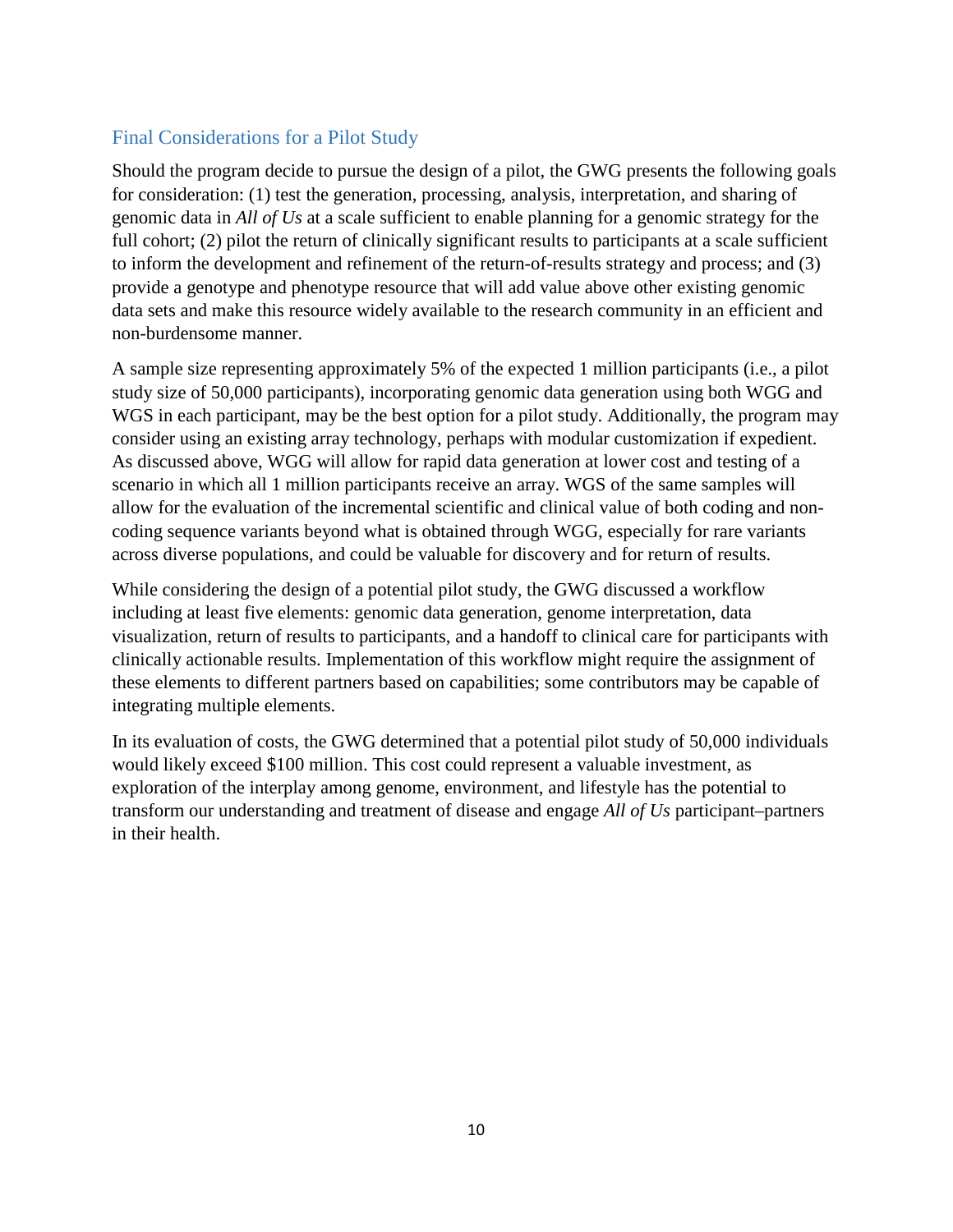### <span id="page-12-0"></span>Final Considerations for a Pilot Study

 Should the program decide to pursue the design of a pilot, the GWG presents the following goals genomic data in *All of Us* at a scale sufficient to enable planning for a genomic strategy for the provide a genotype and phenotype resource that will add value above other existing genomic data sets and make this resource widely available to the research community in an efficient and non-burdensome manner. for consideration: (1) test the generation, processing, analysis, interpretation, and sharing of full cohort; (2) pilot the return of clinically significant results to participants at a scale sufficient to inform the development and refinement of the return-of-results strategy and process; and (3)

 study size of 50,000 participants), incorporating genomic data generation using both WGG and As discussed above, WGG will allow for rapid data generation at lower cost and testing of a scenario in which all 1 million participants receive an array. WGS of the same samples will A sample size representing approximately 5% of the expected 1 million participants (i.e., a pilot WGS in each participant, may be the best option for a pilot study. Additionally, the program may consider using an existing array technology, perhaps with modular customization if expedient. allow for the evaluation of the incremental scientific and clinical value of both coding and noncoding sequence variants beyond what is obtained through WGG, especially for rare variants across diverse populations, and could be valuable for discovery and for return of results.

 these elements to different partners based on capabilities; some contributors may be capable of While considering the design of a potential pilot study, the GWG discussed a workflow including at least five elements: genomic data generation, genome interpretation, data visualization, return of results to participants, and a handoff to clinical care for participants with clinically actionable results. Implementation of this workflow might require the assignment of integrating multiple elements.

 exploration of the interplay among genome, environment, and lifestyle has the potential to transform our understanding and treatment of disease and engage *All of Us* participant–partners In its evaluation of costs, the GWG determined that a potential pilot study of 50,000 individuals would likely exceed \$100 million. This cost could represent a valuable investment, as in their health.